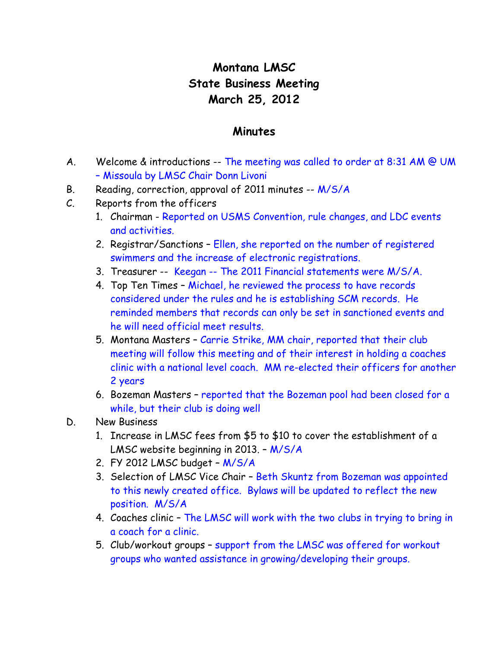## **Montana LMSC State Business Meeting March 25, 2012**

## **Minutes**

- A. Welcome & introductions  $-$  The meeting was called to order at 8:31 AM @ UM – Missoula by LMSC Chair Donn Livoni
- B. Reading, correction, approval of 2011 minutes -- M/S/A
- C. Reports from the officers
	- 1. Chairman Reported on USMS Convention, rule changes, and LDC events and activities.
	- 2. Registrar/Sanctions Ellen, she reported on the number of registered swimmers and the increase of electronic registrations.
	- 3. Treasurer -- Keegan -- The 2011 Financial statements were M/S/A.
	- 4. Top Ten Times Michael, he reviewed the process to have records considered under the rules and he is establishing SCM records. He reminded members that records can only be set in sanctioned events and he will need official meet results.
	- 5. Montana Masters Carrie Strike, MM chair, reported that their club meeting will follow this meeting and of their interest in holding a coaches clinic with a national level coach. MM re-elected their officers for another 2 years
	- 6. Bozeman Masters reported that the Bozeman pool had been closed for a while, but their club is doing well
- D. New Business
	- 1. Increase in LMSC fees from \$5 to \$10 to cover the establishment of a LMSC website beginning in 2013. – M/S/A
	- 2. FY 2012 LMSC budget M/S/A
	- 3. Selection of LMSC Vice Chair Beth Skuntz from Bozeman was appointed to this newly created office. Bylaws will be updated to reflect the new position. M/S/A
	- 4. Coaches clinic The LMSC will work with the two clubs in trying to bring in a coach for a clinic.
	- 5. Club/workout groups support from the LMSC was offered for workout groups who wanted assistance in growing/developing their groups.